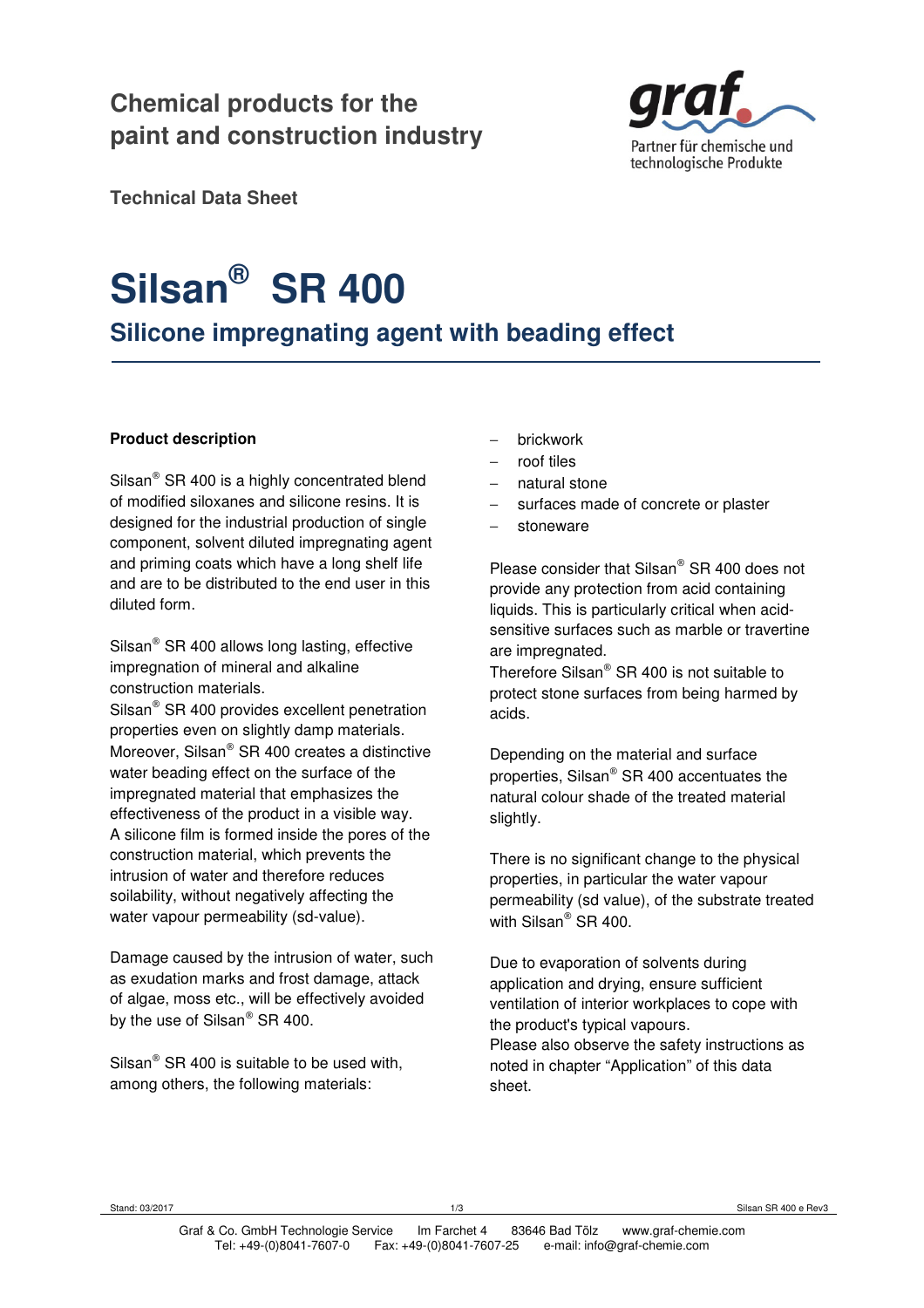# **Chemical products for the paint and construction industry**



**Technical Data Sheet** 

# **Silsan® SR 400**

**Silicone impregnating agent with beading effect** 

#### **Product description**

Silsan $^{\circ}$  SR 400 is a highly concentrated blend of modified siloxanes and silicone resins. It is designed for the industrial production of single component, solvent diluted impregnating agent and priming coats which have a long shelf life and are to be distributed to the end user in this diluted form.

Silsan $^{\circ}$  SR 400 allows long lasting, effective impregnation of mineral and alkaline construction materials.

Silsan<sup>®</sup> SR 400 provides excellent penetration properties even on slightly damp materials. Moreover, Silsan® SR 400 creates a distinctive water beading effect on the surface of the impregnated material that emphasizes the effectiveness of the product in a visible way. A silicone film is formed inside the pores of the construction material, which prevents the intrusion of water and therefore reduces soilability, without negatively affecting the water vapour permeability (sd-value).

Damage caused by the intrusion of water, such as exudation marks and frost damage, attack of algae, moss etc., will be effectively avoided by the use of Silsan® SR 400.

Silsan<sup>®</sup> SR 400 is suitable to be used with, among others, the following materials:

- − brickwork
- − roof tiles
- natural stone
- surfaces made of concrete or plaster
- stoneware

Please consider that Silsan® SR 400 does not provide any protection from acid containing liquids. This is particularly critical when acidsensitive surfaces such as marble or travertine are impregnated.

Therefore Silsan® SR 400 is not suitable to protect stone surfaces from being harmed by acids.

Depending on the material and surface properties, Silsan® SR 400 accentuates the natural colour shade of the treated material slightly.

There is no significant change to the physical properties, in particular the water vapour permeability (sd value), of the substrate treated with Silsan® SR 400.

Due to evaporation of solvents during application and drying, ensure sufficient ventilation of interior workplaces to cope with the product's typical vapours. Please also observe the safety instructions as noted in chapter "Application" of this data sheet.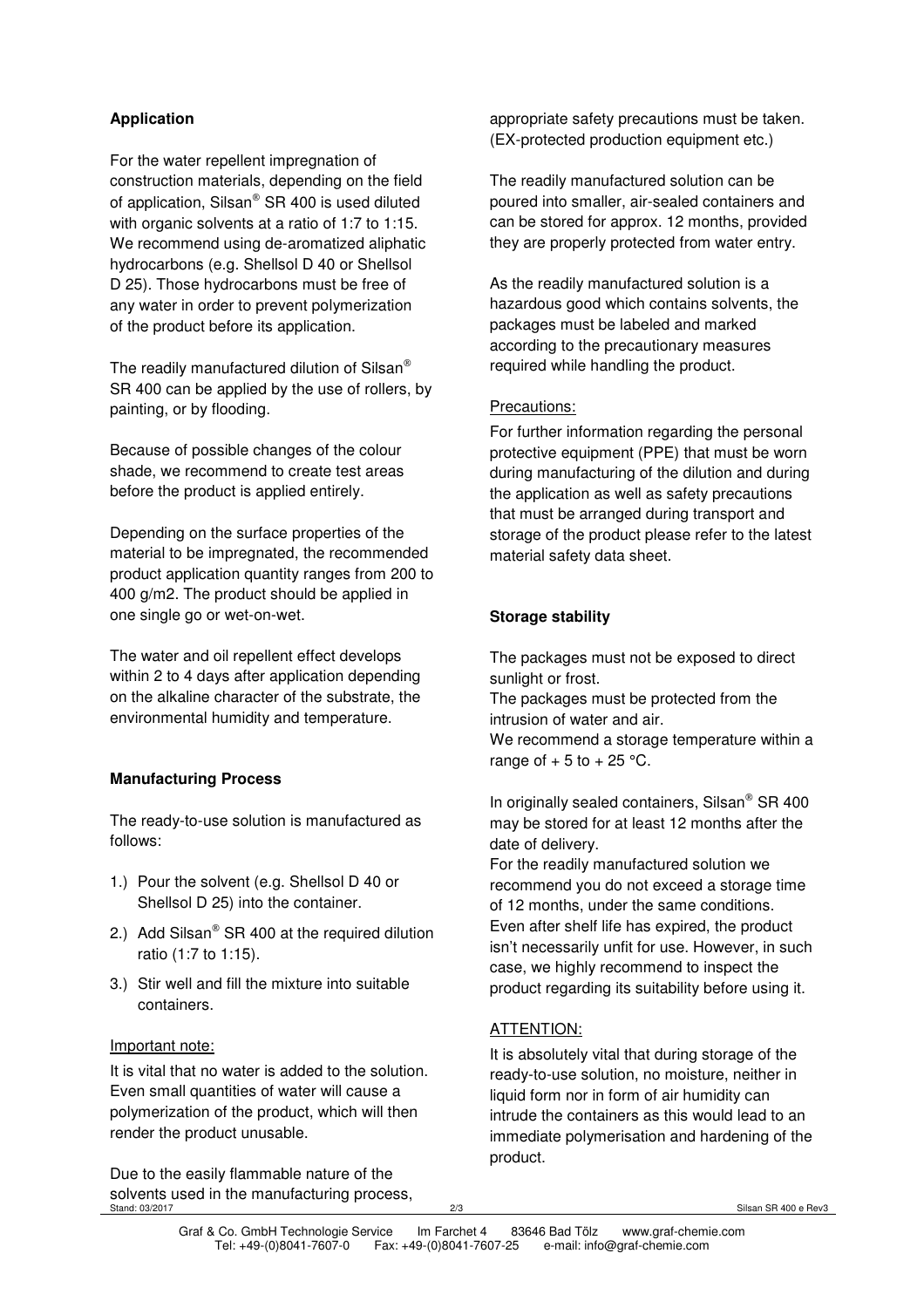### **Application**

For the water repellent impregnation of construction materials, depending on the field of application, Silsan® SR 400 is used diluted with organic solvents at a ratio of 1:7 to 1:15. We recommend using de-aromatized aliphatic hydrocarbons (e.g. Shellsol D 40 or Shellsol D 25). Those hydrocarbons must be free of any water in order to prevent polymerization of the product before its application.

The readily manufactured dilution of Silsan<sup>®</sup> SR 400 can be applied by the use of rollers, by painting, or by flooding.

Because of possible changes of the colour shade, we recommend to create test areas before the product is applied entirely.

Depending on the surface properties of the material to be impregnated, the recommended product application quantity ranges from 200 to 400 g/m2. The product should be applied in one single go or wet-on-wet.

The water and oil repellent effect develops within 2 to 4 days after application depending on the alkaline character of the substrate, the environmental humidity and temperature.

#### **Manufacturing Process**

The ready-to-use solution is manufactured as follows:

- 1.) Pour the solvent (e.g. Shellsol D 40 or Shellsol D 25) into the container.
- 2.) Add Silsan<sup>®</sup> SR 400 at the required dilution ratio (1:7 to 1:15).
- 3.) Stir well and fill the mixture into suitable containers.

#### Important note:

It is vital that no water is added to the solution. Even small quantities of water will cause a polymerization of the product, which will then render the product unusable.

Stand: 03/2017 2/3 Silsan SR 400 e Rev3 Due to the easily flammable nature of the solvents used in the manufacturing process,

appropriate safety precautions must be taken. (EX-protected production equipment etc.)

The readily manufactured solution can be poured into smaller, air-sealed containers and can be stored for approx. 12 months, provided they are properly protected from water entry.

As the readily manufactured solution is a hazardous good which contains solvents, the packages must be labeled and marked according to the precautionary measures required while handling the product.

#### Precautions:

For further information regarding the personal protective equipment (PPE) that must be worn during manufacturing of the dilution and during the application as well as safety precautions that must be arranged during transport and storage of the product please refer to the latest material safety data sheet.

#### **Storage stability**

The packages must not be exposed to direct sunlight or frost.

The packages must be protected from the intrusion of water and air.

We recommend a storage temperature within a range of  $+5$  to  $+25$  °C.

In originally sealed containers, Silsan® SR 400 may be stored for at least 12 months after the date of delivery.

For the readily manufactured solution we recommend you do not exceed a storage time of 12 months, under the same conditions. Even after shelf life has expired, the product isn't necessarily unfit for use. However, in such case, we highly recommend to inspect the product regarding its suitability before using it.

## ATTENTION:

It is absolutely vital that during storage of the ready-to-use solution, no moisture, neither in liquid form nor in form of air humidity can intrude the containers as this would lead to an immediate polymerisation and hardening of the product.